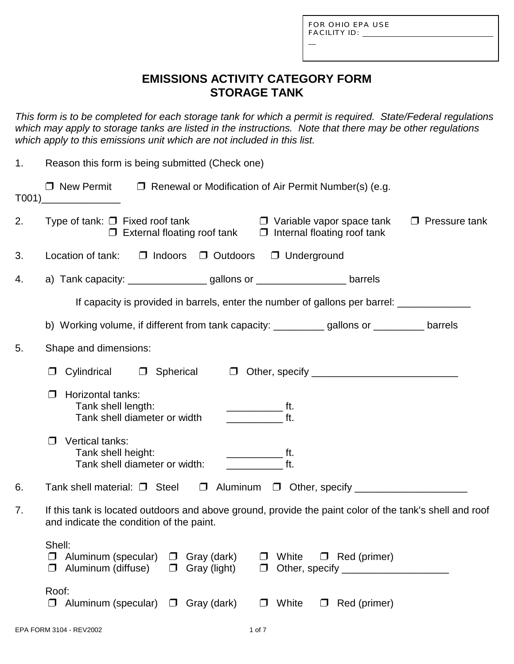L

## **EMISSIONS ACTIVITY CATEGORY FORM STORAGE TANK**

*This form is to be completed for each storage tank for which a permit is required. State/Federal regulations which may apply to storage tanks are listed in the instructions. Note that there may be other regulations which apply to this emissions unit which are not included in this list.*

| 1. | Reason this form is being submitted (Check one)                                                                                                                                                                                                                                                                                                                                                                                                                                                                                                                                                   |  |  |  |
|----|---------------------------------------------------------------------------------------------------------------------------------------------------------------------------------------------------------------------------------------------------------------------------------------------------------------------------------------------------------------------------------------------------------------------------------------------------------------------------------------------------------------------------------------------------------------------------------------------------|--|--|--|
|    | $\Box$ New Permit $\Box$ Renewal or Modification of Air Permit Number(s) (e.g.<br>$\begin{array}{c} \text{T001)} \qquad \qquad \text{---} \qquad \qquad \text{---} \qquad \qquad \text{---} \qquad \qquad \text{---} \qquad \qquad \text{---} \qquad \qquad \text{---} \qquad \qquad \text{---} \qquad \qquad \text{---} \qquad \qquad \text{---} \qquad \qquad \text{---} \qquad \qquad \text{---} \qquad \qquad \text{---} \qquad \text{---} \qquad \text{---} \qquad \text{---} \qquad \text{---} \qquad \text{---} \qquad \text{---} \qquad \text{---} \qquad \text{---} \qquad \text{---} \$ |  |  |  |
| 2. | $\Box$ Variable vapor space tank<br>Type of tank: $\Box$ Fixed roof tank<br>$\Box$ Pressure tank<br>$\Box$ External floating roof tank $\Box$ Internal floating roof tank                                                                                                                                                                                                                                                                                                                                                                                                                         |  |  |  |
| 3. | Location of tank:<br>□ Indoors □ Outdoors □ Underground                                                                                                                                                                                                                                                                                                                                                                                                                                                                                                                                           |  |  |  |
| 4. | a) Tank capacity: __________________gallons or _____________________ barrels                                                                                                                                                                                                                                                                                                                                                                                                                                                                                                                      |  |  |  |
|    | If capacity is provided in barrels, enter the number of gallons per barrel: ________________________                                                                                                                                                                                                                                                                                                                                                                                                                                                                                              |  |  |  |
|    | b) Working volume, if different from tank capacity: ___________gallons or __________ barrels                                                                                                                                                                                                                                                                                                                                                                                                                                                                                                      |  |  |  |
| 5. | Shape and dimensions:                                                                                                                                                                                                                                                                                                                                                                                                                                                                                                                                                                             |  |  |  |
|    | Cylindrical<br><b>D</b> Spherical<br>$\Box$                                                                                                                                                                                                                                                                                                                                                                                                                                                                                                                                                       |  |  |  |
|    | Horizontal tanks:<br>Tank shell length:<br>$\overline{\phantom{a}}$ ft.<br>$\overline{t}$ ft.<br>Tank shell diameter or width                                                                                                                                                                                                                                                                                                                                                                                                                                                                     |  |  |  |
|    | Vertical tanks:<br>l 1<br>Tank shell height:<br><u>_______________</u> ft.<br>ft.<br>Tank shell diameter or width:                                                                                                                                                                                                                                                                                                                                                                                                                                                                                |  |  |  |
| 6. | Tank shell material: □ Steel □ Aluminum □ Other, specify ______________________                                                                                                                                                                                                                                                                                                                                                                                                                                                                                                                   |  |  |  |
| 7. | If this tank is located outdoors and above ground, provide the paint color of the tank's shell and roof<br>and indicate the condition of the paint.                                                                                                                                                                                                                                                                                                                                                                                                                                               |  |  |  |
|    | Shell:<br>$\Box$ Aluminum (specular) $\Box$ Gray (dark)<br>$\Box$ Red (primer)<br>White<br>Aluminum (diffuse)<br>$\Box$ Gray (light)<br>Other, specify ___________<br>$\Box$<br>$\Box$                                                                                                                                                                                                                                                                                                                                                                                                            |  |  |  |
|    | Roof:<br>$\Box$ Aluminum (specular) $\Box$ Gray (dark)<br>White<br>Red (primer)<br>$\Box$<br>$\Box$                                                                                                                                                                                                                                                                                                                                                                                                                                                                                               |  |  |  |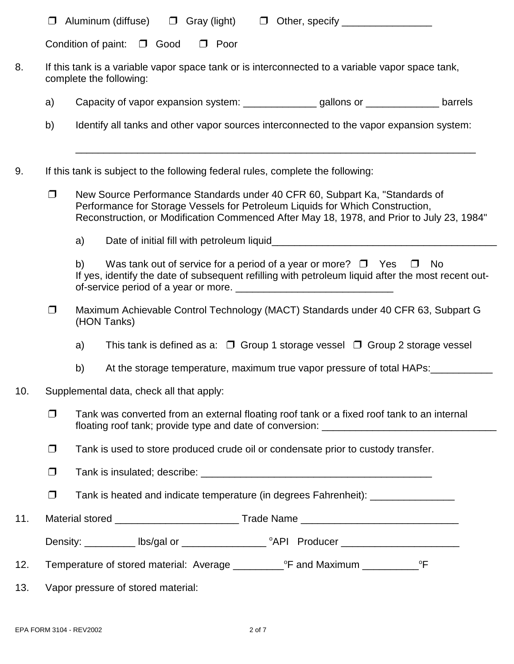| □ Aluminum (diffuse) | $\Box$ Gray (light) |  | $\Box$ Other, specify |
|----------------------|---------------------|--|-----------------------|
|                      |                     |  |                       |

| Condition of paint: $\Box$ Good |  | $\Box$ Poor |
|---------------------------------|--|-------------|
|                                 |  |             |

- 8. If this tank is a variable vapor space tank or is interconnected to a variable vapor space tank, complete the following:
	- a) Capacity of vapor expansion system: \_\_\_\_\_\_\_\_\_\_\_\_\_\_\_\_\_ gallons or \_\_\_\_\_\_\_\_\_\_\_\_\_\_\_\_\_ barrels
	- b) Identify all tanks and other vapor sources interconnected to the vapor expansion system:
- 9. If this tank is subject to the following federal rules, complete the following:
	- □ New Source Performance Standards under 40 CFR 60, Subpart Ka, "Standards of Performance for Storage Vessels for Petroleum Liquids for Which Construction, Reconstruction, or Modification Commenced After May 18, 1978, and Prior to July 23, 1984"

\_\_\_\_\_\_\_\_\_\_\_\_\_\_\_\_\_\_\_\_\_\_\_\_\_\_\_\_\_\_\_\_\_\_\_\_\_\_\_\_\_\_\_\_\_\_\_\_\_\_\_\_\_\_\_\_\_\_\_\_\_\_\_\_\_\_\_\_\_\_\_

a) Date of initial fill with petroleum liquid

b) Was tank out of service for a period of a year or more?  $\Box$  Yes  $\Box$  No If yes, identify the date of subsequent refilling with petroleum liquid after the most recent outof-service period of a year or more.

- □ Maximum Achievable Control Technology (MACT) Standards under 40 CFR 63, Subpart G (HON Tanks)
	- a) This tank is defined as a:  $\Box$  Group 1 storage vessel  $\Box$  Group 2 storage vessel
	- b) At the storage temperature, maximum true vapor pressure of total HAPs:
- 10. Supplemental data, check all that apply:
	- $\Box$  Tank was converted from an external floating roof tank or a fixed roof tank to an internal floating roof tank; provide type and date of conversion:
	- $\Box$  Tank is used to store produced crude oil or condensate prior to custody transfer.
	- $\Box$  Tank is insulated; describe:  $\Box$
	- $\Box$  Tank is heated and indicate temperature (in degrees Fahrenheit):
- 11. Material stored example and the Trade Name and Trade Name and Trade Name and Trade Name and Trade Name and Trade Name and Trade Name and Trade Name and Trade Name and Trade Name and Trade Name and Trade Name and Trade

| Density:<br>lbs/gal or | <sup>o</sup> API Producer |
|------------------------|---------------------------|
|------------------------|---------------------------|

- 12. Temperature of stored material: Average \_\_\_\_\_\_\_\_\_\_°F and Maximum \_\_\_\_\_\_\_\_\_\_°F
- 13. Vapor pressure of stored material: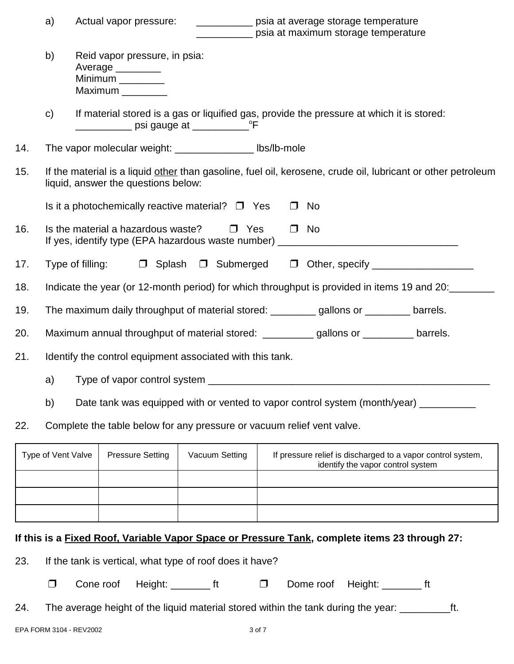|                                                                                                                                                                     | a)<br>Actual vapor pressure:<br>_____________ psia at average storage temperature<br>__________ psia at maximum storage temperature |                  |                                                                         |                       |        |                                                                                           |                                                                                                              |
|---------------------------------------------------------------------------------------------------------------------------------------------------------------------|-------------------------------------------------------------------------------------------------------------------------------------|------------------|-------------------------------------------------------------------------|-----------------------|--------|-------------------------------------------------------------------------------------------|--------------------------------------------------------------------------------------------------------------|
|                                                                                                                                                                     | b)                                                                                                                                  |                  | Reid vapor pressure, in psia:<br>Average<br>Minimum ________<br>Maximum |                       |        |                                                                                           |                                                                                                              |
|                                                                                                                                                                     | $\mathbf{C}$                                                                                                                        |                  |                                                                         |                       |        | If material stored is a gas or liquified gas, provide the pressure at which it is stored: |                                                                                                              |
| 14.                                                                                                                                                                 |                                                                                                                                     |                  | The vapor molecular weight: _________________ lbs/lb-mole               |                       |        |                                                                                           |                                                                                                              |
| 15.                                                                                                                                                                 |                                                                                                                                     |                  | liquid, answer the questions below:                                     |                       |        |                                                                                           | If the material is a liquid other than gasoline, fuel oil, kerosene, crude oil, lubricant or other petroleum |
|                                                                                                                                                                     |                                                                                                                                     |                  | Is it a photochemically reactive material? $\Box$ Yes                   |                       | $\Box$ | No                                                                                        |                                                                                                              |
| 16.                                                                                                                                                                 |                                                                                                                                     |                  | Is the material a hazardous waste?                                      | $\Box$ Yes            |        | $\Box$ No                                                                                 |                                                                                                              |
| 17.                                                                                                                                                                 |                                                                                                                                     | Type of filling: |                                                                         |                       |        |                                                                                           | □ Splash □ Submerged □ Other, specify __________________                                                     |
| 18.                                                                                                                                                                 |                                                                                                                                     |                  |                                                                         |                       |        |                                                                                           | Indicate the year (or 12-month period) for which throughput is provided in items 19 and 20:                  |
| 19.                                                                                                                                                                 |                                                                                                                                     |                  |                                                                         |                       |        | The maximum daily throughput of material stored: _________ gallons or ________ barrels.   |                                                                                                              |
| 20.                                                                                                                                                                 | Maximum annual throughput of material stored: ___________ gallons or _________ barrels.                                             |                  |                                                                         |                       |        |                                                                                           |                                                                                                              |
| 21.                                                                                                                                                                 | Identify the control equipment associated with this tank.                                                                           |                  |                                                                         |                       |        |                                                                                           |                                                                                                              |
| a)                                                                                                                                                                  |                                                                                                                                     |                  |                                                                         |                       |        |                                                                                           |                                                                                                              |
|                                                                                                                                                                     | b)                                                                                                                                  |                  |                                                                         |                       |        |                                                                                           | Date tank was equipped with or vented to vapor control system (month/year) _________                         |
| 22.                                                                                                                                                                 |                                                                                                                                     |                  | Complete the table below for any pressure or vacuum relief vent valve.  |                       |        |                                                                                           |                                                                                                              |
| Type of Vent Valve<br><b>Pressure Setting</b><br>Vacuum Setting<br>If pressure relief is discharged to a vapor control system,<br>identify the vapor control system |                                                                                                                                     |                  |                                                                         |                       |        |                                                                                           |                                                                                                              |
|                                                                                                                                                                     |                                                                                                                                     |                  |                                                                         |                       |        |                                                                                           |                                                                                                              |
|                                                                                                                                                                     |                                                                                                                                     |                  |                                                                         |                       |        |                                                                                           |                                                                                                              |
|                                                                                                                                                                     |                                                                                                                                     |                  |                                                                         |                       |        |                                                                                           | If this is a Fixed Roof, Variable Vapor Space or Pressure Tank, complete items 23 through 27:                |
| 23.                                                                                                                                                                 |                                                                                                                                     |                  | If the tank is vertical, what type of roof does it have?                |                       |        |                                                                                           |                                                                                                              |
|                                                                                                                                                                     | □                                                                                                                                   |                  | Cone roof                                                               | Height: __________ ft | $\Box$ | Dome roof                                                                                 | Height: ________<br>ft                                                                                       |

24. The average height of the liquid material stored within the tank during the year: \_\_\_\_\_\_\_\_\_ft.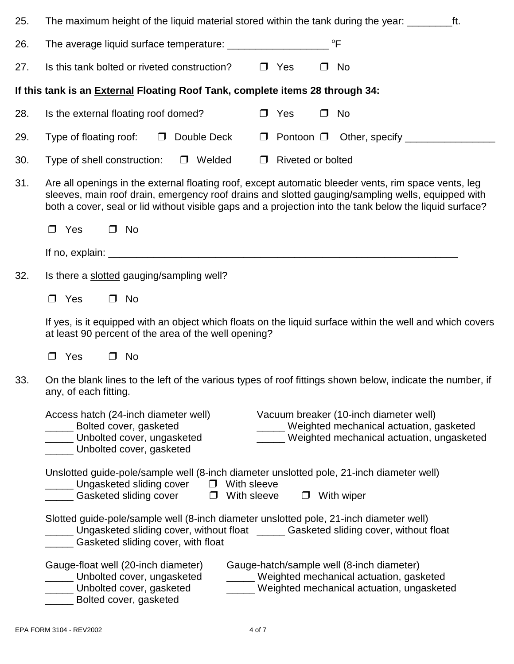| 25. | The maximum height of the liquid material stored within the tank during the year: ____________________________                                                                                                                                                                                                       |  |  |  |  |  |  |
|-----|----------------------------------------------------------------------------------------------------------------------------------------------------------------------------------------------------------------------------------------------------------------------------------------------------------------------|--|--|--|--|--|--|
| 26. | °F<br>The average liquid surface temperature: _________________                                                                                                                                                                                                                                                      |  |  |  |  |  |  |
| 27. | Is this tank bolted or riveted construction?<br>$\Box$ Yes<br>No<br>$\Box$                                                                                                                                                                                                                                           |  |  |  |  |  |  |
|     | If this tank is an <b>External Floating Roof Tank, complete items 28 through 34:</b>                                                                                                                                                                                                                                 |  |  |  |  |  |  |
| 28. | Is the external floating roof domed?<br>$\Box$ Yes<br>No<br>$\Box$                                                                                                                                                                                                                                                   |  |  |  |  |  |  |
| 29. | Type of floating roof:<br>$\Box$ Double Deck<br>Pontoon □ Other, specify _____________<br>$\Box$                                                                                                                                                                                                                     |  |  |  |  |  |  |
| 30. | <b>Riveted or bolted</b><br>Type of shell construction:<br>D Welded<br>$\Box$                                                                                                                                                                                                                                        |  |  |  |  |  |  |
| 31. | Are all openings in the external floating roof, except automatic bleeder vents, rim space vents, leg<br>sleeves, main roof drain, emergency roof drains and slotted gauging/sampling wells, equipped with<br>both a cover, seal or lid without visible gaps and a projection into the tank below the liquid surface? |  |  |  |  |  |  |
|     | Yes<br>$\Box$ No<br>$\Box$                                                                                                                                                                                                                                                                                           |  |  |  |  |  |  |
|     |                                                                                                                                                                                                                                                                                                                      |  |  |  |  |  |  |
| 32. | Is there a slotted gauging/sampling well?                                                                                                                                                                                                                                                                            |  |  |  |  |  |  |
|     | $\Box$ No<br>Yes<br>$\Box$                                                                                                                                                                                                                                                                                           |  |  |  |  |  |  |
|     | If yes, is it equipped with an object which floats on the liquid surface within the well and which covers<br>at least 90 percent of the area of the well opening?                                                                                                                                                    |  |  |  |  |  |  |
|     | Yes<br>No<br>$\Box$<br>$\Box$                                                                                                                                                                                                                                                                                        |  |  |  |  |  |  |
| 33. | On the blank lines to the left of the various types of roof fittings shown below, indicate the number, if<br>any, of each fitting.                                                                                                                                                                                   |  |  |  |  |  |  |
|     | Vacuum breaker (10-inch diameter well)<br>Access hatch (24-inch diameter well)<br>____ Weighted mechanical actuation, gasketed<br>Bolted cover, gasketed<br>Unbolted cover, ungasketed<br>___ Weighted mechanical actuation, ungasketed<br>Unbolted cover, gasketed                                                  |  |  |  |  |  |  |
|     | Unslotted guide-pole/sample well (8-inch diameter unslotted pole, 21-inch diameter well)<br><u>__</u> ____ Ungasketed sliding cover □ With sleeve<br><u> a</u> Gasketed sliding cover □ With sleeve<br>$\Box$ With wiper                                                                                             |  |  |  |  |  |  |
|     | Slotted guide-pole/sample well (8-inch diameter unslotted pole, 21-inch diameter well)<br>_____ Ungasketed sliding cover, without float _____ Gasketed sliding cover, without float<br>_____ Gasketed sliding cover, with float                                                                                      |  |  |  |  |  |  |
|     | Gauge-float well (20-inch diameter)<br>Gauge-hatch/sample well (8-inch diameter)<br>_____ Weighted mechanical actuation, gasketed<br>Unbolted cover, ungasketed<br>_____ Weighted mechanical actuation, ungasketed<br>____ Unbolted cover, gasketed<br>Bolted cover, gasketed                                        |  |  |  |  |  |  |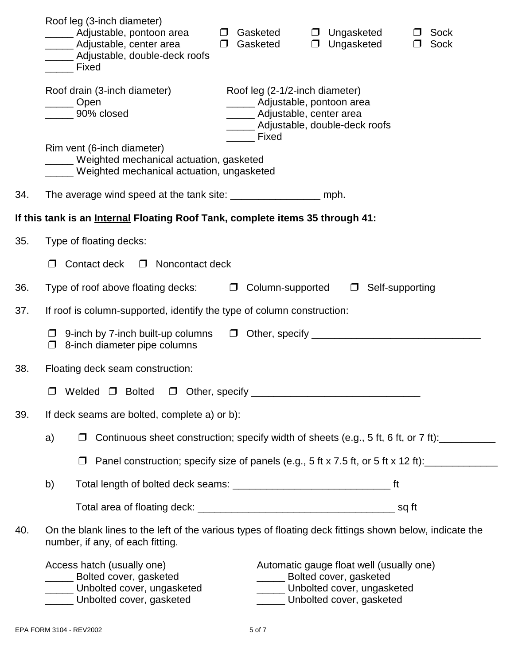|     | Roof leg (3-inch diameter)<br>_____ Adjustable, pontoon area<br>Gasketed<br>$\Box$ Ungasketed<br>Sock<br>$\Box$<br>_____ Adjustable, center area<br>Ungasketed<br>$\Box$<br>Gasketed<br>$\Box$<br>Sock<br>$\Box$<br>____ Adjustable, double-deck roofs<br><b>Exed</b> Fixed |
|-----|-----------------------------------------------------------------------------------------------------------------------------------------------------------------------------------------------------------------------------------------------------------------------------|
|     | Roof drain (3-inch diameter)<br>Roof leg (2-1/2-inch diameter)<br>______ Adjustable, pontoon area<br><u>Copen</u><br>______ 90% closed<br>_____ Adjustable, center area<br>_____ Adjustable, double-deck roofs<br><b>Fixed</b>                                              |
|     | Rim vent (6-inch diameter)<br>____ Weighted mechanical actuation, gasketed<br>____ Weighted mechanical actuation, ungasketed                                                                                                                                                |
| 34. | The average wind speed at the tank site: ________________________ mph.                                                                                                                                                                                                      |
|     | If this tank is an Internal Floating Roof Tank, complete items 35 through 41:                                                                                                                                                                                               |
| 35. | Type of floating decks:                                                                                                                                                                                                                                                     |
|     | Contact deck<br>$\Box$ Noncontact deck                                                                                                                                                                                                                                      |
| 36. | Type of roof above floating decks:<br>□ Column-supported<br>$\Box$ Self-supporting                                                                                                                                                                                          |
| 37. | If roof is column-supported, identify the type of column construction:                                                                                                                                                                                                      |
|     | $\Box$ 9-inch by 7-inch built-up columns<br>$\Box$ 8-inch diameter pipe columns                                                                                                                                                                                             |
| 38. | Floating deck seam construction:                                                                                                                                                                                                                                            |
|     |                                                                                                                                                                                                                                                                             |
| 39. | If deck seams are bolted, complete a) or b):                                                                                                                                                                                                                                |
|     | Continuous sheet construction; specify width of sheets (e.g., 5 ft, 6 ft, or 7 ft):<br>a)                                                                                                                                                                                   |
|     | Panel construction; specify size of panels (e.g., 5 ft x 7.5 ft, or 5 ft x 12 ft):                                                                                                                                                                                          |
|     | b)                                                                                                                                                                                                                                                                          |
|     |                                                                                                                                                                                                                                                                             |
| 40. | On the blank lines to the left of the various types of floating deck fittings shown below, indicate the<br>number, if any, of each fitting.                                                                                                                                 |
|     | Access hatch (usually one)<br>Automatic gauge float well (usually one)<br>_____ Bolted cover, gasketed<br>_____ Bolted cover, gasketed<br>Unbolted cover, ungasketed<br>Unbolted cover, ungasketed<br>Unbolted cover, gasketed<br>Unbolted cover, gasketed                  |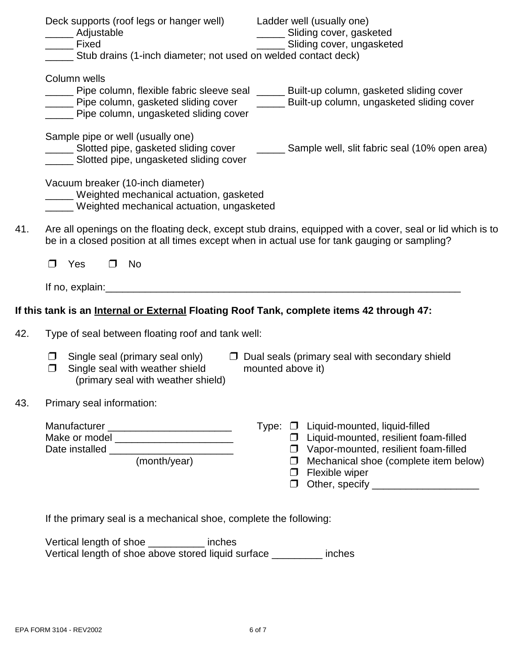|     | Deck supports (roof legs or hanger well) Ladder well (usually one)<br>______ Sliding cover, gasketed<br>_____ Adjustable<br>______ Sliding cover, ungasketed<br><b>Exed</b> Fixed                                                                                                                                                                                             |
|-----|-------------------------------------------------------------------------------------------------------------------------------------------------------------------------------------------------------------------------------------------------------------------------------------------------------------------------------------------------------------------------------|
|     | ____ Stub drains (1-inch diameter; not used on welded contact deck)                                                                                                                                                                                                                                                                                                           |
|     | Column wells<br>____ Pipe column, flexible fabric sleeve seal _____ Built-up column, gasketed sliding cover<br>____ Pipe column, gasketed sliding cover _____ Built-up column, ungasketed sliding cover                                                                                                                                                                       |
|     | ____ Pipe column, ungasketed sliding cover                                                                                                                                                                                                                                                                                                                                    |
|     | Sample pipe or well (usually one)<br>____ Slotted pipe, gasketed sliding cover<br>_______ Sample well, slit fabric seal (10% open area)<br>Slotted pipe, ungasketed sliding cover                                                                                                                                                                                             |
|     | Vacuum breaker (10-inch diameter)<br>_____ Weighted mechanical actuation, gasketed<br>____ Weighted mechanical actuation, ungasketed                                                                                                                                                                                                                                          |
| 41. | Are all openings on the floating deck, except stub drains, equipped with a cover, seal or lid which is to<br>be in a closed position at all times except when in actual use for tank gauging or sampling?                                                                                                                                                                     |
|     | No<br>Yes<br>$\Box$<br>$\Box$                                                                                                                                                                                                                                                                                                                                                 |
|     | If no, $explain:$                                                                                                                                                                                                                                                                                                                                                             |
|     | If this tank is an <u>Internal or External</u> Floating Roof Tank, complete items 42 through 47:                                                                                                                                                                                                                                                                              |
| 42. | Type of seal between floating roof and tank well:                                                                                                                                                                                                                                                                                                                             |
|     | $\Box$ Single seal (primary seal only)<br>$\Box$ Dual seals (primary seal with secondary shield<br>Single seal with weather shield<br>mounted above it)<br>$\Box$<br>(primary seal with weather shield)                                                                                                                                                                       |
| 43. | Primary seal information:                                                                                                                                                                                                                                                                                                                                                     |
|     | Manufacturer _____________________________<br>Type: □ Liquid-mounted, liquid-filled<br>Make or model ____________________________<br>$\Box$ Liquid-mounted, resilient foam-filled<br>$\Box$ Vapor-mounted, resilient foam-filled<br>(month/year)<br>$\Box$ Mechanical shoe (complete item below)<br>$\Box$ Flexible wiper<br>Other, specify _______________________<br>$\Box$ |
|     | If the primary seal is a mechanical shoe, complete the following:                                                                                                                                                                                                                                                                                                             |

Vertical length of shoe \_\_\_\_\_\_\_\_\_\_ inches Vertical length of shoe above stored liquid surface \_\_\_\_\_\_\_\_\_ inches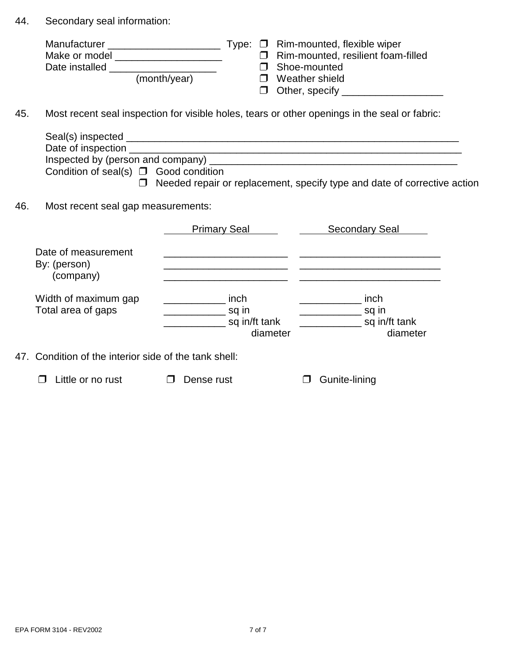44. Secondary seal information:

| Manufacturer   |              |  | Type: $\Box$ Rim-mounted, flexible wiper  |
|----------------|--------------|--|-------------------------------------------|
| Make or model  |              |  | $\Box$ Rim-mounted, resilient foam-filled |
| Date installed |              |  | □ Shoe-mounted                            |
|                | (month/year) |  | $\Box$ Weather shield                     |
|                |              |  | $\Box$ Other, specify                     |

45. Most recent seal inspection for visible holes, tears or other openings in the seal or fabric:

|     | Date of inspection<br>Condition of seal(s) $\Box$ Good condition<br>$\Box$ |                                                                     | <u> 1990 - Johann John Harry Harry Harry Harry Harry Harry Harry Harry Harry Harry Harry Harry Harry Harry Harry</u><br>Needed repair or replacement, specify type and date of corrective action |
|-----|----------------------------------------------------------------------------|---------------------------------------------------------------------|--------------------------------------------------------------------------------------------------------------------------------------------------------------------------------------------------|
| 46. | Most recent seal gap measurements:                                         |                                                                     |                                                                                                                                                                                                  |
|     |                                                                            | Primary Seal                                                        | <b>Secondary Seal</b>                                                                                                                                                                            |
|     | Date of measurement<br>By: (person)<br>(company)                           |                                                                     |                                                                                                                                                                                                  |
|     | Width of maximum gap<br>Total area of gaps                                 | inch<br>sq in<br><u> Alban Maria (</u><br>sq in/ft tank<br>diameter | inch<br>_______________ sq in<br>sq in/ft tank<br>diameter                                                                                                                                       |
|     | 47. Condition of the interior side of the tank shell:                      |                                                                     |                                                                                                                                                                                                  |
|     | Little or no rust                                                          | Dense rust                                                          | Gunite-lining                                                                                                                                                                                    |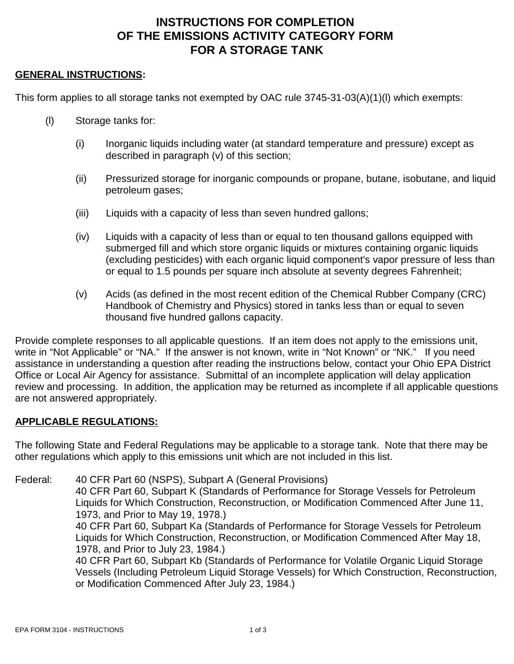# **INSTRUCTIONS FOR COMPLETION OF THE EMISSIONS ACTIVITY CATEGORY FORM FOR A STORAGE TANK**

#### **GENERAL INSTRUCTIONS:**

This form applies to all storage tanks not exempted by OAC rule 3745-31-03(A)(1)(l) which exempts:

- (l) Storage tanks for:
	- (i) Inorganic liquids including water (at standard temperature and pressure) except as described in paragraph (v) of this section;
	- (ii) Pressurized storage for inorganic compounds or propane, butane, isobutane, and liquid petroleum gases;
	- (iii) Liquids with a capacity of less than seven hundred gallons;
	- (iv) Liquids with a capacity of less than or equal to ten thousand gallons equipped with submerged fill and which store organic liquids or mixtures containing organic liquids (excluding pesticides) with each organic liquid component's vapor pressure of less than or equal to 1.5 pounds per square inch absolute at seventy degrees Fahrenheit;
	- (v) Acids (as defined in the most recent edition of the Chemical Rubber Company (CRC) Handbook of Chemistry and Physics) stored in tanks less than or equal to seven thousand five hundred gallons capacity.

Provide complete responses to all applicable questions. If an item does not apply to the emissions unit, write in "Not Applicable" or "NA." If the answer is not known, write in "Not Known" or "NK." If you need assistance in understanding a question after reading the instructions below, contact your Ohio EPA District Office or Local Air Agency for assistance. Submittal of an incomplete application will delay application review and processing. In addition, the application may be returned as incomplete if all applicable questions are not answered appropriately.

#### **APPLICABLE REGULATIONS:**

The following State and Federal Regulations may be applicable to a storage tank. Note that there may be other regulations which apply to this emissions unit which are not included in this list.

Federal: 40 CFR Part 60 (NSPS), Subpart A (General Provisions) 40 CFR Part 60, Subpart K (Standards of Performance for Storage Vessels for Petroleum Liquids for Which Construction, Reconstruction, or Modification Commenced After June 11, 1973, and Prior to May 19, 1978.) 40 CFR Part 60, Subpart Ka (Standards of Performance for Storage Vessels for Petroleum Liquids for Which Construction, Reconstruction, or Modification Commenced After May 18, 1978, and Prior to July 23, 1984.) 40 CFR Part 60, Subpart Kb (Standards of Performance for Volatile Organic Liquid Storage Vessels (Including Petroleum Liquid Storage Vessels) for Which Construction, Reconstruction, or Modification Commenced After July 23, 1984.)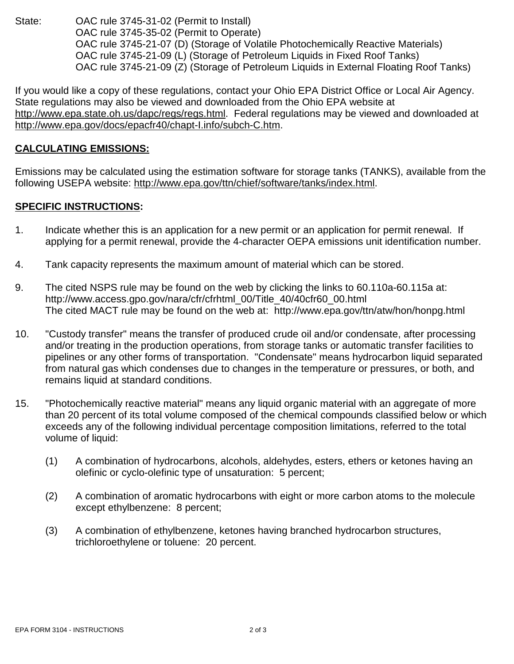State: OAC rule 3745-31-02 (Permit to Install) OAC rule 3745-35-02 (Permit to Operate) OAC rule 3745-21-07 (D) (Storage of Volatile Photochemically Reactive Materials) OAC rule 3745-21-09 (L) (Storage of Petroleum Liquids in Fixed Roof Tanks) OAC rule 3745-21-09 (Z) (Storage of Petroleum Liquids in External Floating Roof Tanks)

If you would like a copy of these regulations, contact your Ohio EPA District Office or Local Air Agency. State regulations may also be viewed and downloaded from the Ohio EPA website at http://www.epa.state.oh.us/dapc/regs/regs.html. Federal regulations may be viewed and downloaded at http://www.epa.gov/docs/epacfr40/chapt-I.info/subch-C.htm.

### **CALCULATING EMISSIONS:**

Emissions may be calculated using the estimation software for storage tanks (TANKS), available from the following USEPA website: http://www.epa.gov/ttn/chief/software/tanks/index.html.

### **SPECIFIC INSTRUCTIONS:**

- 1. Indicate whether this is an application for a new permit or an application for permit renewal. If applying for a permit renewal, provide the 4-character OEPA emissions unit identification number.
- 4. Tank capacity represents the maximum amount of material which can be stored.
- 9. The cited NSPS rule may be found on the web by clicking the links to 60.110a-60.115a at: http://www.access.gpo.gov/nara/cfr/cfrhtml\_00/Title\_40/40cfr60\_00.html The cited MACT rule may be found on the web at: http://www.epa.gov/ttn/atw/hon/honpg.html
- 10. "Custody transfer" means the transfer of produced crude oil and/or condensate, after processing and/or treating in the production operations, from storage tanks or automatic transfer facilities to pipelines or any other forms of transportation. "Condensate" means hydrocarbon liquid separated from natural gas which condenses due to changes in the temperature or pressures, or both, and remains liquid at standard conditions.
- 15. "Photochemically reactive material" means any liquid organic material with an aggregate of more than 20 percent of its total volume composed of the chemical compounds classified below or which exceeds any of the following individual percentage composition limitations, referred to the total volume of liquid:
	- (1) A combination of hydrocarbons, alcohols, aldehydes, esters, ethers or ketones having an olefinic or cyclo-olefinic type of unsaturation: 5 percent;
	- (2) A combination of aromatic hydrocarbons with eight or more carbon atoms to the molecule except ethylbenzene: 8 percent;
	- (3) A combination of ethylbenzene, ketones having branched hydrocarbon structures, trichloroethylene or toluene: 20 percent.